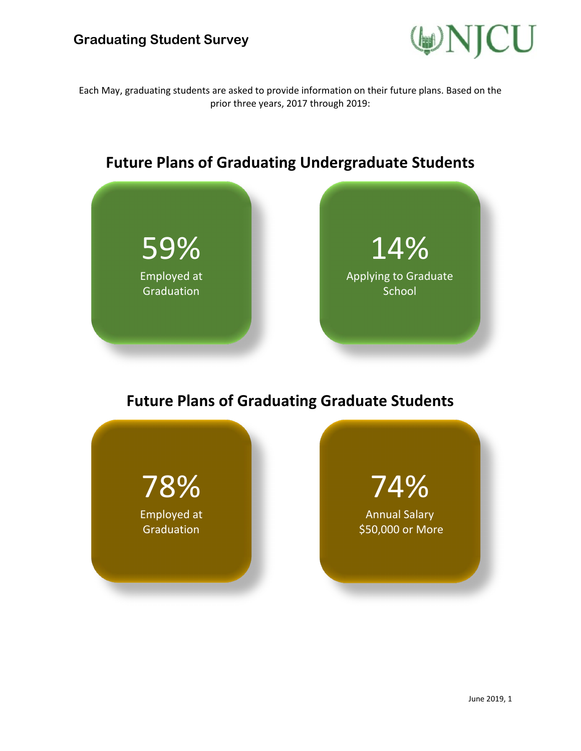

Each May, graduating students are asked to provide information on their future plans. Based on the prior three years, 2017 through 2019:



## **Future Plans of Graduating Graduate Students**